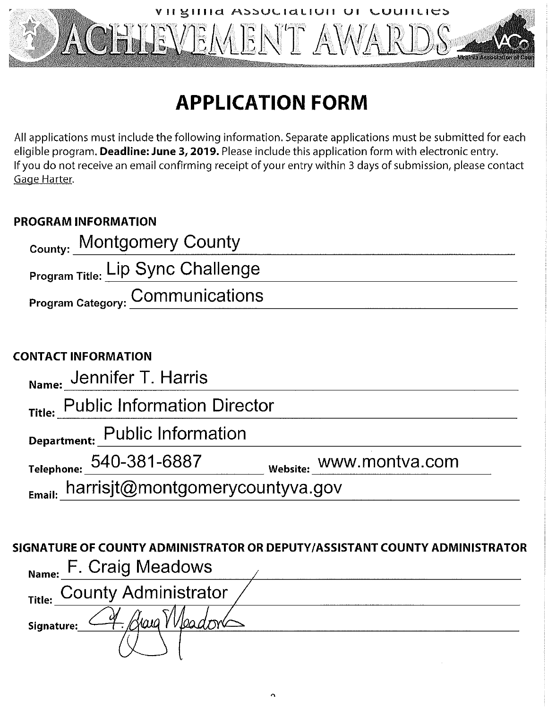

# **APPLICATION FORM**

All applications must include the following information. Separate applications must be submitted for each eligible program. Deadline: June 3, 2019. Please include this application form with electronic entry. If you do not receive an email confirming receipt of your entry within 3 days of submission, please contact Gage Harter.

### **PROGRAM INFORMATION**

| <sub>County:</sub> Montgomery County     |
|------------------------------------------|
| <b>Program Title: Lip Sync Challenge</b> |
| <b>Program Category: COMMUNICATIONS</b>  |
|                                          |

## **CONTACT INFORMATION** Name: Jennifer T. Harris Title: Public Information Director Department: Public Information WWW.montva.com Telephone: 540-381-6887 Email: harrisjt@montgomerycountyva.gov

|                             | SIGNATURE OF COUNTY ADMINISTRATOR OR DEPUTY/ASSISTANT COUNTY ADMINISTRATOR |
|-----------------------------|----------------------------------------------------------------------------|
| Name: F. Craig Meadows      |                                                                            |
| Title: County Administrator |                                                                            |
| <i>K</i> haig<br>Signature: |                                                                            |
|                             |                                                                            |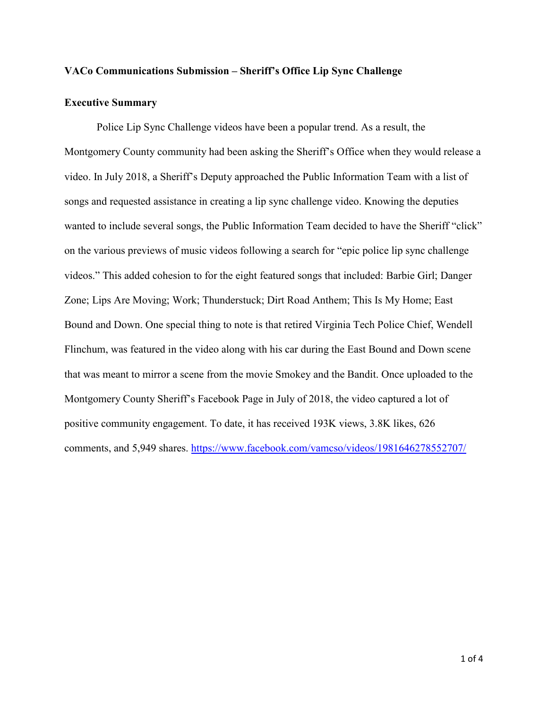#### **VACo Communications Submission – Sheriff's Office Lip Sync Challenge**

#### **Executive Summary**

Police Lip Sync Challenge videos have been a popular trend. As a result, the Montgomery County community had been asking the Sheriff's Office when they would release a video. In July 2018, a Sheriff's Deputy approached the Public Information Team with a list of songs and requested assistance in creating a lip sync challenge video. Knowing the deputies wanted to include several songs, the Public Information Team decided to have the Sheriff "click" on the various previews of music videos following a search for "epic police lip sync challenge videos." This added cohesion to for the eight featured songs that included: Barbie Girl; Danger Zone; Lips Are Moving; Work; Thunderstuck; Dirt Road Anthem; This Is My Home; East Bound and Down. One special thing to note is that retired Virginia Tech Police Chief, Wendell Flinchum, was featured in the video along with his car during the East Bound and Down scene that was meant to mirror a scene from the movie Smokey and the Bandit. Once uploaded to the Montgomery County Sheriff's Facebook Page in July of 2018, the video captured a lot of positive community engagement. To date, it has received 193K views, 3.8K likes, 626 comments, and 5,949 shares. <https://www.facebook.com/vamcso/videos/1981646278552707/>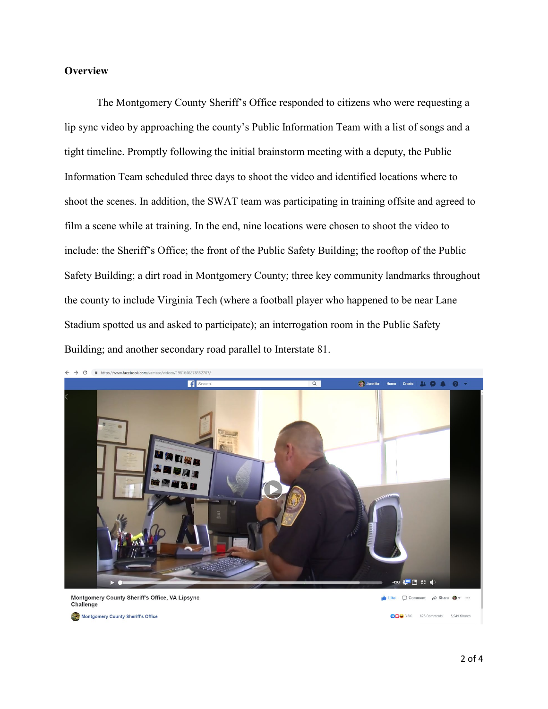#### **Overview**

The Montgomery County Sheriff's Office responded to citizens who were requesting a lip sync video by approaching the county's Public Information Team with a list of songs and a tight timeline. Promptly following the initial brainstorm meeting with a deputy, the Public Information Team scheduled three days to shoot the video and identified locations where to shoot the scenes. In addition, the SWAT team was participating in training offsite and agreed to film a scene while at training. In the end, nine locations were chosen to shoot the video to include: the Sheriff's Office; the front of the Public Safety Building; the rooftop of the Public Safety Building; a dirt road in Montgomery County; three key community landmarks throughout the county to include Virginia Tech (where a football player who happened to be near Lane Stadium spotted us and asked to participate); an interrogation room in the Public Safety Building; and another secondary road parallel to Interstate 81.

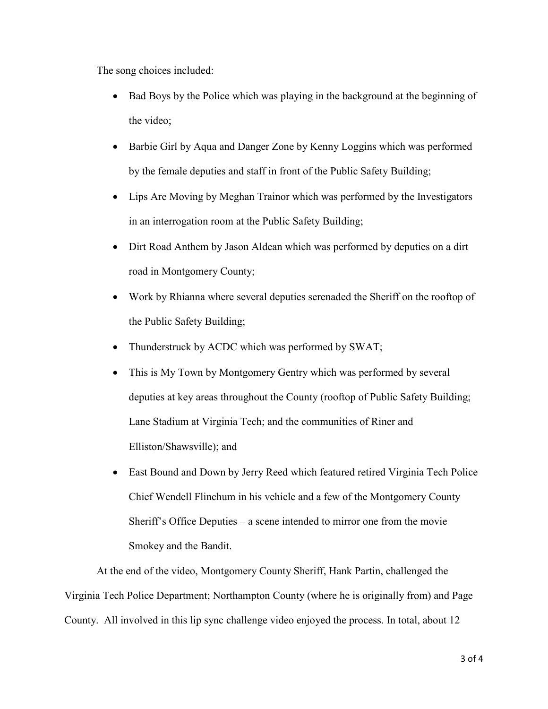The song choices included:

- Bad Boys by the Police which was playing in the background at the beginning of the video;
- Barbie Girl by Aqua and Danger Zone by Kenny Loggins which was performed by the female deputies and staff in front of the Public Safety Building;
- Lips Are Moving by Meghan Trainor which was performed by the Investigators in an interrogation room at the Public Safety Building;
- Dirt Road Anthem by Jason Aldean which was performed by deputies on a dirt road in Montgomery County;
- Work by Rhianna where several deputies serenaded the Sheriff on the rooftop of the Public Safety Building;
- Thunderstruck by ACDC which was performed by SWAT;
- This is My Town by Montgomery Gentry which was performed by several deputies at key areas throughout the County (rooftop of Public Safety Building; Lane Stadium at Virginia Tech; and the communities of Riner and Elliston/Shawsville); and
- East Bound and Down by Jerry Reed which featured retired Virginia Tech Police Chief Wendell Flinchum in his vehicle and a few of the Montgomery County Sheriff's Office Deputies – a scene intended to mirror one from the movie Smokey and the Bandit.

At the end of the video, Montgomery County Sheriff, Hank Partin, challenged the Virginia Tech Police Department; Northampton County (where he is originally from) and Page County. All involved in this lip sync challenge video enjoyed the process. In total, about 12